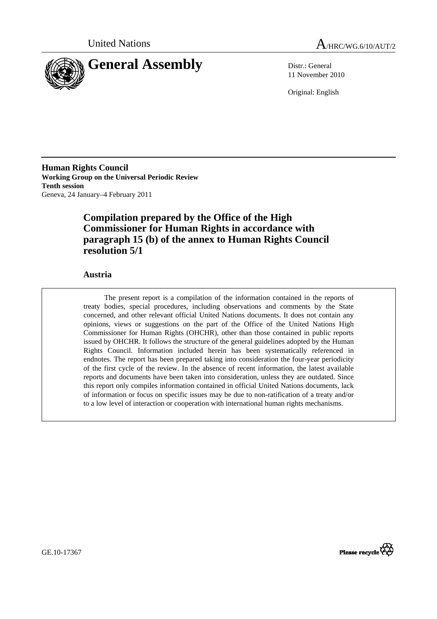



11 November 2010

Original: English

**Human Rights Council Working Group on the Universal Periodic Review Tenth session**  Geneva, 24 January–4 February 2011

# **Compilation prepared by the Office of the High Commissioner for Human Rights in accordance with paragraph 15 (b) of the annex to Human Rights Council resolution 5/1**

### **Austria**

The present report is a compilation of the information contained in the reports of treaty bodies, special procedures, including observations and comments by the State concerned, and other relevant official United Nations documents. It does not contain any opinions, views or suggestions on the part of the Office of the United Nations High Commissioner for Human Rights (OHCHR), other than those contained in public reports issued by OHCHR. It follows the structure of the general guidelines adopted by the Human Rights Council. Information included herein has been systematically referenced in endnotes. The report has been prepared taking into consideration the four-year periodicity of the first cycle of the review. In the absence of recent information, the latest available reports and documents have been taken into consideration, unless they are outdated. Since this report only compiles information contained in official United Nations documents, lack of information or focus on specific issues may be due to non-ratification of a treaty and/or to a low level of interaction or cooperation with international human rights mechanisms.



GE.10-17367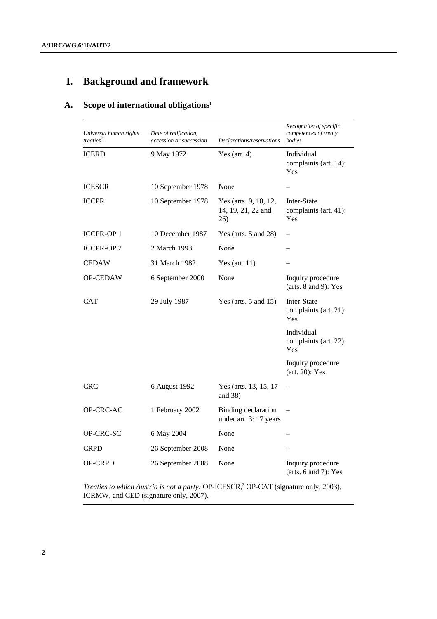# **I. Background and framework**

# **A. Scope of international obligations**<sup>1</sup>

| Universal human rights<br>treaties <sup>2</sup> | Date of ratification,<br>accession or succession | Declarations/reservations                                                                         | Recognition of specific<br>competences of treaty<br>bodies |
|-------------------------------------------------|--------------------------------------------------|---------------------------------------------------------------------------------------------------|------------------------------------------------------------|
| <b>ICERD</b>                                    | 9 May 1972                                       | Yes (art. $4$ )                                                                                   | Individual<br>complaints (art. 14):<br>Yes                 |
| <b>ICESCR</b>                                   | 10 September 1978                                | None                                                                                              |                                                            |
| <b>ICCPR</b>                                    | 10 September 1978                                | Inter-State<br>Yes (arts. 9, 10, 12,<br>14, 19, 21, 22 and<br>complaints (art. 41):<br>Yes<br>26) |                                                            |
| <b>ICCPR-OP1</b>                                | 10 December 1987                                 | Yes (arts. $5$ and $28$ )                                                                         |                                                            |
| <b>ICCPR-OP2</b>                                | 2 March 1993                                     | None                                                                                              |                                                            |
| <b>CEDAW</b>                                    | 31 March 1982                                    | Yes (art. $11$ )                                                                                  |                                                            |
| <b>OP-CEDAW</b>                                 | 6 September 2000                                 | None                                                                                              | Inquiry procedure<br>(arts. $8$ and $9$ ): Yes             |
| CAT                                             | 29 July 1987                                     | Yes (arts. $5$ and $15$ )                                                                         | Inter-State<br>complaints (art. 21):<br>Yes                |
|                                                 |                                                  |                                                                                                   | Individual<br>complaints (art. 22):<br>Yes                 |
|                                                 |                                                  |                                                                                                   | Inquiry procedure<br>(art. 20): Yes                        |
| <b>CRC</b>                                      | 6 August 1992                                    | Yes (arts. 13, 15, 17<br>and $38$ )                                                               |                                                            |
| <b>OP-CRC-AC</b>                                | 1 February 2002                                  | <b>Binding declaration</b><br>under art. 3: 17 years                                              |                                                            |
| OP-CRC-SC                                       | 6 May 2004                                       | None                                                                                              |                                                            |
| <b>CRPD</b>                                     | 26 September 2008                                | None                                                                                              |                                                            |
| <b>OP-CRPD</b>                                  | 26 September 2008                                | None                                                                                              | Inquiry procedure<br>(arts. $6$ and $7$ ): Yes             |

*Treaties to which Austria is not a party:* OP-ICESCR,<sup>3</sup> OP-CAT (signature only, 2003), ICRMW, and CED (signature only, 2007).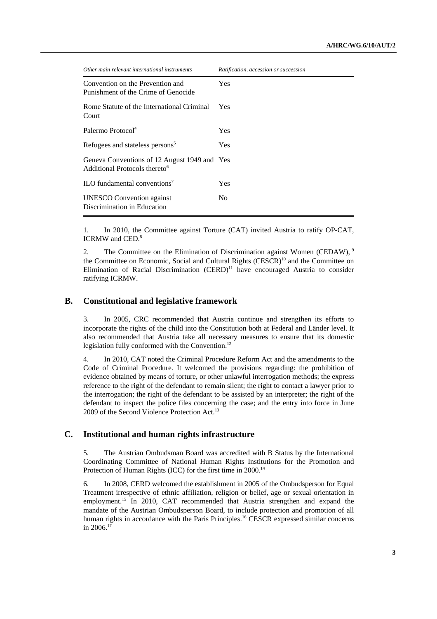| Other main relevant international instruments                                             | Ratification, accession or succession |
|-------------------------------------------------------------------------------------------|---------------------------------------|
| Convention on the Prevention and<br>Punishment of the Crime of Genocide                   | <b>Yes</b>                            |
| Rome Statute of the International Criminal<br>Court                                       | Yes.                                  |
| Palermo Protocol <sup>4</sup>                                                             | <b>Yes</b>                            |
| Refugees and stateless persons <sup>5</sup>                                               | <b>Yes</b>                            |
| Geneva Conventions of 12 August 1949 and Yes<br>Additional Protocols thereto <sup>6</sup> |                                       |
| $\rm ILO$ fundamental conventions <sup>7</sup>                                            | <b>Yes</b>                            |
| <b>UNESCO</b> Convention against<br>Discrimination in Education                           | No                                    |

1. In 2010, the Committee against Torture (CAT) invited Austria to ratify OP-CAT, ICRMW and CED.<sup>8</sup>

2. The Committee on the Elimination of Discrimination against Women (CEDAW), <sup>9</sup> the Committee on Economic, Social and Cultural Rights (CESCR)<sup>10</sup> and the Committee on Elimination of Racial Discrimination  $(CERD)^{11}$  have encouraged Austria to consider ratifying ICRMW.

### **B. Constitutional and legislative framework**

3. In 2005, CRC recommended that Austria continue and strengthen its efforts to incorporate the rights of the child into the Constitution both at Federal and Länder level. It also recommended that Austria take all necessary measures to ensure that its domestic legislation fully conformed with the Convention. $^{12}$ 

4. In 2010, CAT noted the Criminal Procedure Reform Act and the amendments to the Code of Criminal Procedure. It welcomed the provisions regarding: the prohibition of evidence obtained by means of torture, or other unlawful interrogation methods; the express reference to the right of the defendant to remain silent; the right to contact a lawyer prior to the interrogation; the right of the defendant to be assisted by an interpreter; the right of the defendant to inspect the police files concerning the case; and the entry into force in June 2009 of the Second Violence Protection Act.<sup>13</sup>

# **C. Institutional and human rights infrastructure**

5. The Austrian Ombudsman Board was accredited with B Status by the International Coordinating Committee of National Human Rights Institutions for the Promotion and Protection of Human Rights (ICC) for the first time in 2000.<sup>14</sup>

6. In 2008, CERD welcomed the establishment in 2005 of the Ombudsperson for Equal Treatment irrespective of ethnic affiliation, religion or belief, age or sexual orientation in employment.<sup>15</sup> In 2010, CAT recommended that Austria strengthen and expand the mandate of the Austrian Ombudsperson Board, to include protection and promotion of all human rights in accordance with the Paris Principles.<sup>16</sup> CESCR expressed similar concerns in  $2006$ <sup>17</sup>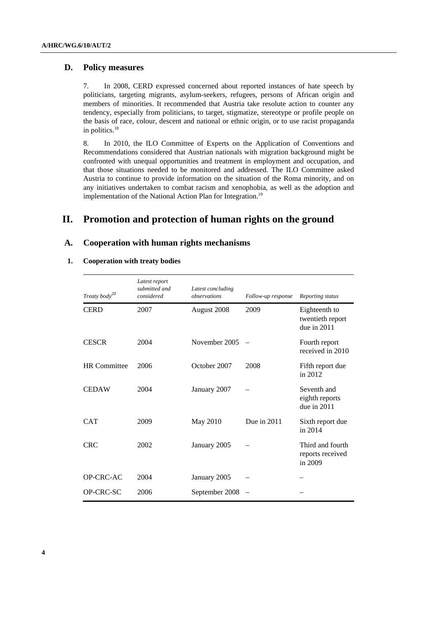### **D. Policy measures**

7. In 2008, CERD expressed concerned about reported instances of hate speech by politicians, targeting migrants, asylum-seekers, refugees, persons of African origin and members of minorities. It recommended that Austria take resolute action to counter any tendency, especially from politicians, to target, stigmatize, stereotype or profile people on the basis of race, colour, descent and national or ethnic origin, or to use racist propaganda in politics.<sup>18</sup>

8. In 2010, the ILO Committee of Experts on the Application of Conventions and Recommendations considered that Austrian nationals with migration background might be confronted with unequal opportunities and treatment in employment and occupation, and that those situations needed to be monitored and addressed. The ILO Committee asked Austria to continue to provide information on the situation of the Roma minority, and on any initiatives undertaken to combat racism and xenophobia, as well as the adoption and implementation of the National Action Plan for Integration.<sup>19</sup>

# **II. Promotion and protection of human rights on the ground**

### **A. Cooperation with human rights mechanisms**

### **1. Cooperation with treaty bodies**

| Treaty body <sup>20</sup> | Latest report<br>submitted and<br>considered | Latest concluding<br>observations | Follow-up response | Reporting status                                 |
|---------------------------|----------------------------------------------|-----------------------------------|--------------------|--------------------------------------------------|
| <b>CERD</b>               | 2007                                         | August 2008                       | 2009               | Eighteenth to<br>twentieth report<br>due in 2011 |
| <b>CESCR</b>              | 2004                                         | November 2005                     |                    | Fourth report<br>received in 2010                |
| <b>HR</b> Committee       | 2006                                         | October 2007                      | 2008               | Fifth report due<br>in 2012                      |
| <b>CEDAW</b>              | 2004                                         | January 2007                      |                    | Seventh and<br>eighth reports<br>due in 2011     |
| <b>CAT</b>                | 2009                                         | May 2010                          | Due in 2011        | Sixth report due<br>in 2014                      |
| <b>CRC</b>                | 2002                                         | January 2005                      |                    | Third and fourth<br>reports received<br>in 2009  |
| OP-CRC-AC                 | 2004                                         | January 2005                      |                    |                                                  |
| OP-CRC-SC                 | 2006                                         | September 2008                    |                    |                                                  |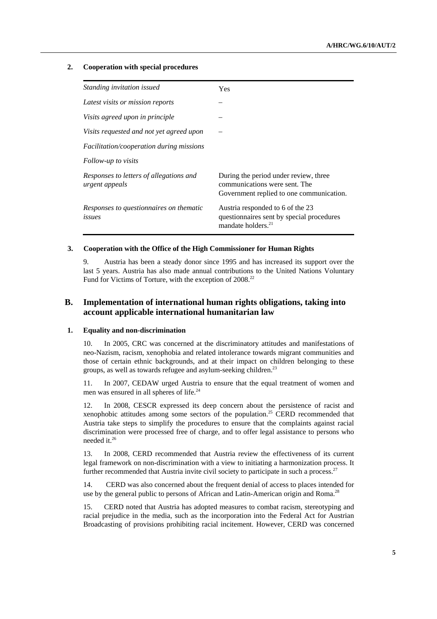#### **2. Cooperation with special procedures**

| Standing invitation issued                                | Yes                                                                                                                |
|-----------------------------------------------------------|--------------------------------------------------------------------------------------------------------------------|
| Latest visits or mission reports                          |                                                                                                                    |
| Visits agreed upon in principle                           |                                                                                                                    |
| Visits requested and not yet agreed upon                  |                                                                                                                    |
| <i>Facilitation/cooperation during missions</i>           |                                                                                                                    |
| Follow-up to visits                                       |                                                                                                                    |
| Responses to letters of allegations and<br>urgent appeals | During the period under review, three<br>communications were sent. The<br>Government replied to one communication. |
| Responses to questionnaires on thematic<br>issues         | Austria responded to 6 of the 23<br>questionnaires sent by special procedures<br>mandate holders. <sup>21</sup>    |

#### **3. Cooperation with the Office of the High Commissioner for Human Rights**

9. Austria has been a steady donor since 1995 and has increased its support over the last 5 years. Austria has also made annual contributions to the United Nations Voluntary Fund for Victims of Torture, with the exception of 2008.<sup>22</sup>

# **B. Implementation of international human rights obligations, taking into account applicable international humanitarian law**

#### **1. Equality and non-discrimination**

10. In 2005, CRC was concerned at the discriminatory attitudes and manifestations of neo-Nazism, racism, xenophobia and related intolerance towards migrant communities and those of certain ethnic backgrounds, and at their impact on children belonging to these groups, as well as towards refugee and asylum-seeking children.<sup>23</sup>

11. In 2007, CEDAW urged Austria to ensure that the equal treatment of women and men was ensured in all spheres of life.<sup>24</sup>

12. In 2008, CESCR expressed its deep concern about the persistence of racist and xenophobic attitudes among some sectors of the population.<sup>25</sup> CERD recommended that Austria take steps to simplify the procedures to ensure that the complaints against racial discrimination were processed free of charge, and to offer legal assistance to persons who needed it.26

13. In 2008, CERD recommended that Austria review the effectiveness of its current legal framework on non-discrimination with a view to initiating a harmonization process. It further recommended that Austria invite civil society to participate in such a process.<sup>27</sup>

14. CERD was also concerned about the frequent denial of access to places intended for use by the general public to persons of African and Latin-American origin and Roma.<sup>28</sup>

15. CERD noted that Austria has adopted measures to combat racism, stereotyping and racial prejudice in the media, such as the incorporation into the Federal Act for Austrian Broadcasting of provisions prohibiting racial incitement. However, CERD was concerned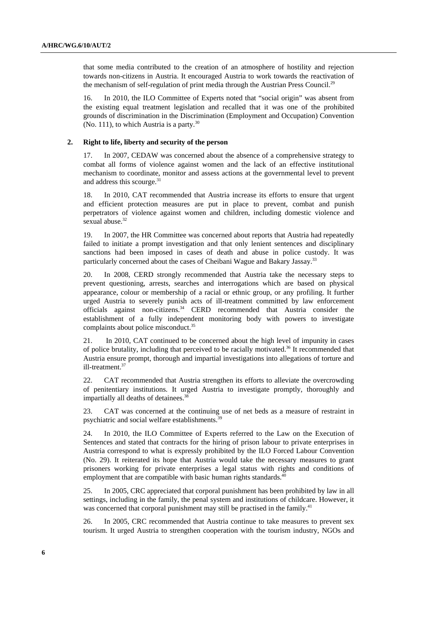that some media contributed to the creation of an atmosphere of hostility and rejection towards non-citizens in Austria. It encouraged Austria to work towards the reactivation of the mechanism of self-regulation of print media through the Austrian Press Council.<sup>29</sup>

16. In 2010, the ILO Committee of Experts noted that "social origin" was absent from the existing equal treatment legislation and recalled that it was one of the prohibited grounds of discrimination in the Discrimination (Employment and Occupation) Convention (No. 111), to which Austria is a party. $30$ 

#### **2. Right to life, liberty and security of the person**

17. In 2007, CEDAW was concerned about the absence of a comprehensive strategy to combat all forms of violence against women and the lack of an effective institutional mechanism to coordinate, monitor and assess actions at the governmental level to prevent and address this scourge.<sup>31</sup>

18. In 2010, CAT recommended that Austria increase its efforts to ensure that urgent and efficient protection measures are put in place to prevent, combat and punish perpetrators of violence against women and children, including domestic violence and sexual abuse.<sup>32</sup>

19. In 2007, the HR Committee was concerned about reports that Austria had repeatedly failed to initiate a prompt investigation and that only lenient sentences and disciplinary sanctions had been imposed in cases of death and abuse in police custody. It was particularly concerned about the cases of Cheibani Wague and Bakary Jassay.<sup>33</sup>

20. In 2008, CERD strongly recommended that Austria take the necessary steps to prevent questioning, arrests, searches and interrogations which are based on physical appearance, colour or membership of a racial or ethnic group, or any profiling. It further urged Austria to severely punish acts of ill-treatment committed by law enforcement officials against non-citizens.34 CERD recommended that Austria consider the establishment of a fully independent monitoring body with powers to investigate complaints about police misconduct.<sup>35</sup>

21. In 2010, CAT continued to be concerned about the high level of impunity in cases of police brutality, including that perceived to be racially motivated.<sup>36</sup> It recommended that Austria ensure prompt, thorough and impartial investigations into allegations of torture and ill-treatment.<sup>37</sup>

22. CAT recommended that Austria strengthen its efforts to alleviate the overcrowding of penitentiary institutions. It urged Austria to investigate promptly, thoroughly and impartially all deaths of detainees.<sup>38</sup>

23. CAT was concerned at the continuing use of net beds as a measure of restraint in psychiatric and social welfare establishments.<sup>3</sup>

24. In 2010, the ILO Committee of Experts referred to the Law on the Execution of Sentences and stated that contracts for the hiring of prison labour to private enterprises in Austria correspond to what is expressly prohibited by the ILO Forced Labour Convention (No. 29). It reiterated its hope that Austria would take the necessary measures to grant prisoners working for private enterprises a legal status with rights and conditions of employment that are compatible with basic human rights standards.<sup>40</sup>

25. In 2005, CRC appreciated that corporal punishment has been prohibited by law in all settings, including in the family, the penal system and institutions of childcare. However, it was concerned that corporal punishment may still be practised in the family.<sup>41</sup>

26. In 2005, CRC recommended that Austria continue to take measures to prevent sex tourism. It urged Austria to strengthen cooperation with the tourism industry, NGOs and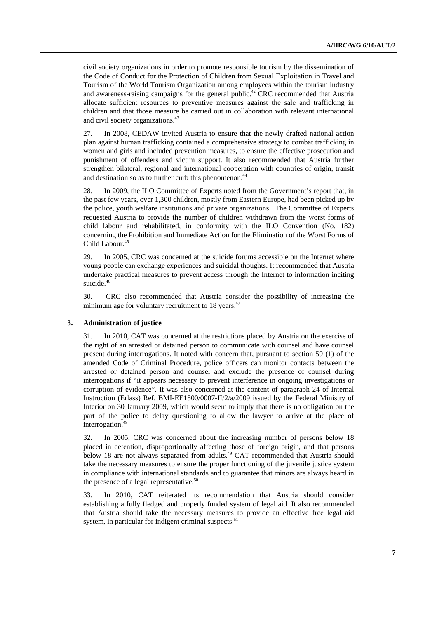civil society organizations in order to promote responsible tourism by the dissemination of the Code of Conduct for the Protection of Children from Sexual Exploitation in Travel and Tourism of the World Tourism Organization among employees within the tourism industry and awareness-raising campaigns for the general public.<sup>42</sup> CRC recommended that Austria allocate sufficient resources to preventive measures against the sale and trafficking in children and that those measure be carried out in collaboration with relevant international and civil society organizations.<sup>43</sup>

27. In 2008, CEDAW invited Austria to ensure that the newly drafted national action plan against human trafficking contained a comprehensive strategy to combat trafficking in women and girls and included prevention measures, to ensure the effective prosecution and punishment of offenders and victim support. It also recommended that Austria further strengthen bilateral, regional and international cooperation with countries of origin, transit and destination so as to further curb this phenomenon.<sup>44</sup>

28. In 2009, the ILO Committee of Experts noted from the Government's report that, in the past few years, over 1,300 children, mostly from Eastern Europe, had been picked up by the police, youth welfare institutions and private organizations. The Committee of Experts requested Austria to provide the number of children withdrawn from the worst forms of child labour and rehabilitated, in conformity with the ILO Convention (No. 182) concerning the Prohibition and Immediate Action for the Elimination of the Worst Forms of Child Labour.<sup>45</sup>

29. In 2005, CRC was concerned at the suicide forums accessible on the Internet where young people can exchange experiences and suicidal thoughts. It recommended that Austria undertake practical measures to prevent access through the Internet to information inciting suicide.<sup>46</sup>

30. CRC also recommended that Austria consider the possibility of increasing the minimum age for voluntary recruitment to 18 years.<sup>47</sup>

#### **3. Administration of justice**

31. In 2010, CAT was concerned at the restrictions placed by Austria on the exercise of the right of an arrested or detained person to communicate with counsel and have counsel present during interrogations. It noted with concern that, pursuant to section 59 (1) of the amended Code of Criminal Procedure, police officers can monitor contacts between the arrested or detained person and counsel and exclude the presence of counsel during interrogations if "it appears necessary to prevent interference in ongoing investigations or corruption of evidence". It was also concerned at the content of paragraph 24 of Internal Instruction (Erlass) Ref. BMI-EE1500/0007-II/2/a/2009 issued by the Federal Ministry of Interior on 30 January 2009, which would seem to imply that there is no obligation on the part of the police to delay questioning to allow the lawyer to arrive at the place of interrogation.<sup>48</sup>

32. In 2005, CRC was concerned about the increasing number of persons below 18 placed in detention, disproportionally affecting those of foreign origin, and that persons below 18 are not always separated from adults.<sup>49</sup> CAT recommended that Austria should take the necessary measures to ensure the proper functioning of the juvenile justice system in compliance with international standards and to guarantee that minors are always heard in the presence of a legal representative.<sup>50</sup>

33. In 2010, CAT reiterated its recommendation that Austria should consider establishing a fully fledged and properly funded system of legal aid. It also recommended that Austria should take the necessary measures to provide an effective free legal aid system, in particular for indigent criminal suspects.<sup>51</sup>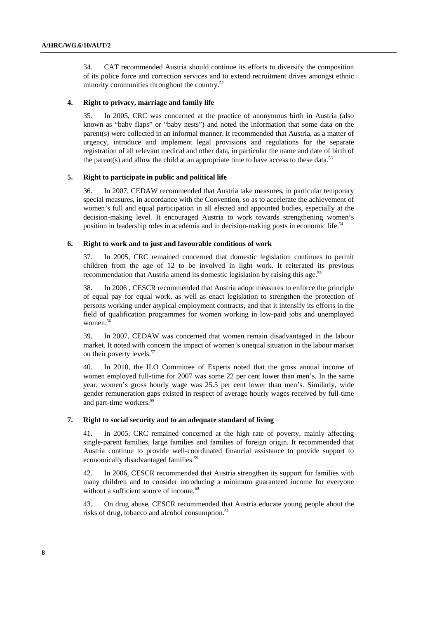34. CAT recommended Austria should continue its efforts to diversify the composition of its police force and correction services and to extend recruitment drives amongst ethnic minority communities throughout the country.52

#### **4. Right to privacy, marriage and family life**

35. In 2005, CRC was concerned at the practice of anonymous birth in Austria (also known as "baby flaps" or "baby nests") and noted the information that some data on the parent(s) were collected in an informal manner. It recommended that Austria, as a matter of urgency, introduce and implement legal provisions and regulations for the separate registration of all relevant medical and other data, in particular the name and date of birth of the parent(s) and allow the child at an appropriate time to have access to these data.<sup>53</sup>

#### **5. Right to participate in public and political life**

36. In 2007, CEDAW recommended that Austria take measures, in particular temporary special measures, in accordance with the Convention, so as to accelerate the achievement of women's full and equal participation in all elected and appointed bodies, especially at the decision-making level. It encouraged Austria to work towards strengthening women's position in leadership roles in academia and in decision-making posts in economic life.<sup>54</sup>

#### **6. Right to work and to just and favourable conditions of work**

37. In 2005, CRC remained concerned that domestic legislation continues to permit children from the age of 12 to be involved in light work. It reiterated its previous recommendation that Austria amend its domestic legislation by raising this age.<sup>55</sup>

38. In 2006 , CESCR recommended that Austria adopt measures to enforce the principle of equal pay for equal work, as well as enact legislation to strengthen the protection of persons working under atypical employment contracts, and that it intensify its efforts in the field of qualification programmes for women working in low-paid jobs and unemployed women.<sup>56</sup>

39. In 2007, CEDAW was concerned that women remain disadvantaged in the labour market. It noted with concern the impact of women's unequal situation in the labour market on their poverty levels.<sup>57</sup>

40. In 2010, the ILO Committee of Experts noted that the gross annual income of women employed full-time for 2007 was some 22 per cent lower than men's. In the same year, women's gross hourly wage was 25.5 per cent lower than men's. Similarly, wide gender remuneration gaps existed in respect of average hourly wages received by full-time and part-time workers.<sup>5</sup>

#### **7. Right to social security and to an adequate standard of living**

41. In 2005, CRC remained concerned at the high rate of poverty, mainly affecting single-parent families, large families and families of foreign origin. It recommended that Austria continue to provide well-coordinated financial assistance to provide support to economically disadvantaged families.<sup>59</sup>

42. In 2006, CESCR recommended that Austria strengthen its support for families with many children and to consider introducing a minimum guaranteed income for everyone without a sufficient source of income.<sup>60</sup>

43. On drug abuse, CESCR recommended that Austria educate young people about the risks of drug, tobacco and alcohol consumption.<sup>61</sup>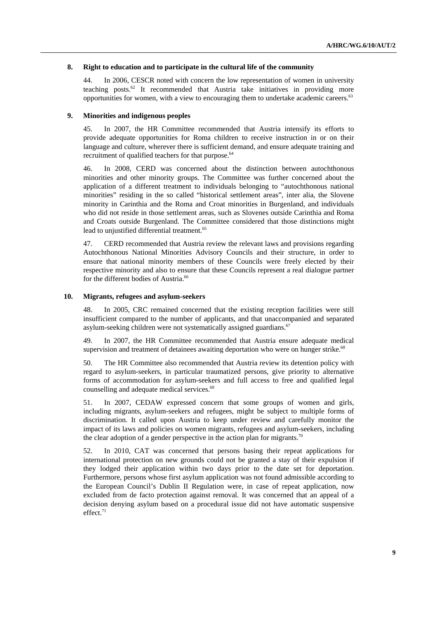#### **8. Right to education and to participate in the cultural life of the community**

44. In 2006, CESCR noted with concern the low representation of women in university teaching posts. $62$  It recommended that Austria take initiatives in providing more opportunities for women, with a view to encouraging them to undertake academic careers.<sup>63</sup>

#### **9. Minorities and indigenous peoples**

45. In 2007, the HR Committee recommended that Austria intensify its efforts to provide adequate opportunities for Roma children to receive instruction in or on their language and culture, wherever there is sufficient demand, and ensure adequate training and recruitment of qualified teachers for that purpose.<sup>64</sup>

46. In 2008, CERD was concerned about the distinction between autochthonous minorities and other minority groups. The Committee was further concerned about the application of a different treatment to individuals belonging to "autochthonous national minorities" residing in the so called "historical settlement areas", inter alia, the Slovene minority in Carinthia and the Roma and Croat minorities in Burgenland, and individuals who did not reside in those settlement areas, such as Slovenes outside Carinthia and Roma and Croats outside Burgenland. The Committee considered that those distinctions might lead to unjustified differential treatment.<sup>65</sup>

47. CERD recommended that Austria review the relevant laws and provisions regarding Autochthonous National Minorities Advisory Councils and their structure, in order to ensure that national minority members of these Councils were freely elected by their respective minority and also to ensure that these Councils represent a real dialogue partner for the different bodies of Austria.<sup>66</sup>

#### **10. Migrants, refugees and asylum-seekers**

48. In 2005, CRC remained concerned that the existing reception facilities were still insufficient compared to the number of applicants, and that unaccompanied and separated asylum-seeking children were not systematically assigned guardians.<sup>67</sup>

49. In 2007, the HR Committee recommended that Austria ensure adequate medical supervision and treatment of detainees awaiting deportation who were on hunger strike.<sup>68</sup>

50. The HR Committee also recommended that Austria review its detention policy with regard to asylum-seekers, in particular traumatized persons, give priority to alternative forms of accommodation for asylum-seekers and full access to free and qualified legal counselling and adequate medical services.<sup>69</sup>

51. In 2007, CEDAW expressed concern that some groups of women and girls, including migrants, asylum-seekers and refugees, might be subject to multiple forms of discrimination. It called upon Austria to keep under review and carefully monitor the impact of its laws and policies on women migrants, refugees and asylum-seekers, including the clear adoption of a gender perspective in the action plan for migrants.<sup>70</sup>

52. In 2010, CAT was concerned that persons basing their repeat applications for international protection on new grounds could not be granted a stay of their expulsion if they lodged their application within two days prior to the date set for deportation. Furthermore, persons whose first asylum application was not found admissible according to the European Council's Dublin II Regulation were, in case of repeat application, now excluded from de facto protection against removal. It was concerned that an appeal of a decision denying asylum based on a procedural issue did not have automatic suspensive effect.<sup>71</sup>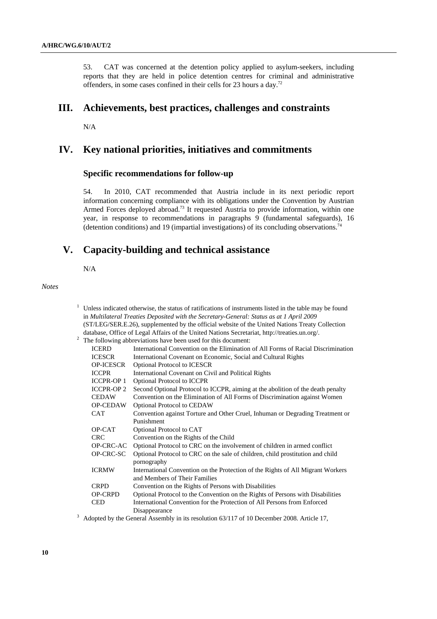53. CAT was concerned at the detention policy applied to asylum-seekers, including reports that they are held in police detention centres for criminal and administrative offenders, in some cases confined in their cells for 23 hours a day.72

# **III. Achievements, best practices, challenges and constraints**

N/A

# **IV. Key national priorities, initiatives and commitments**

# **Specific recommendations for follow-up**

54. In 2010, CAT recommended that Austria include in its next periodic report information concerning compliance with its obligations under the Convention by Austrian Armed Forces deployed abroad.<sup>73</sup> It requested Austria to provide information, within one year, in response to recommendations in paragraphs 9 (fundamental safeguards), 16 (detention conditions) and 19 (impartial investigations) of its concluding observations.<sup>7</sup>

# **V. Capacity-building and technical assistance**

N/A

1

*Notes* 

|                                                                                           | Unless indicated otherwise, the status of ratifications of instruments listed in the table may be found |  |  |
|-------------------------------------------------------------------------------------------|---------------------------------------------------------------------------------------------------------|--|--|
| in Multilateral Treaties Deposited with the Secretary-General: Status as at 1 April 2009  |                                                                                                         |  |  |
|                                                                                           | (ST/LEG/SER.E.26), supplemented by the official website of the United Nations Treaty Collection         |  |  |
|                                                                                           | database, Office of Legal Affairs of the United Nations Secretariat, http://treaties.un.org/.           |  |  |
|                                                                                           | The following abbreviations have been used for this document:                                           |  |  |
| <b>ICERD</b>                                                                              | International Convention on the Elimination of All Forms of Racial Discrimination                       |  |  |
| <b>ICESCR</b>                                                                             | International Covenant on Economic, Social and Cultural Rights                                          |  |  |
| <b>OP-ICESCR</b>                                                                          | Optional Protocol to ICESCR                                                                             |  |  |
| <b>ICCPR</b>                                                                              | International Covenant on Civil and Political Rights                                                    |  |  |
| <b>ICCPR-OP 1</b>                                                                         | <b>Optional Protocol to ICCPR</b>                                                                       |  |  |
| <b>ICCPR-OP 2</b>                                                                         | Second Optional Protocol to ICCPR, aiming at the abolition of the death penalty                         |  |  |
| <b>CEDAW</b>                                                                              | Convention on the Elimination of All Forms of Discrimination against Women                              |  |  |
| <b>OP-CEDAW</b>                                                                           | Optional Protocol to CEDAW                                                                              |  |  |
| <b>CAT</b>                                                                                | Convention against Torture and Other Cruel, Inhuman or Degrading Treatment or                           |  |  |
|                                                                                           | Punishment                                                                                              |  |  |
| OP-CAT                                                                                    | Optional Protocol to CAT                                                                                |  |  |
| <b>CRC</b>                                                                                | Convention on the Rights of the Child                                                                   |  |  |
| OP-CRC-AC                                                                                 | Optional Protocol to CRC on the involvement of children in armed conflict                               |  |  |
| OP-CRC-SC                                                                                 | Optional Protocol to CRC on the sale of children, child prostitution and child                          |  |  |
|                                                                                           | pornography                                                                                             |  |  |
| <b>ICRMW</b>                                                                              | International Convention on the Protection of the Rights of All Migrant Workers                         |  |  |
|                                                                                           | and Members of Their Families                                                                           |  |  |
| <b>CRPD</b>                                                                               | Convention on the Rights of Persons with Disabilities                                                   |  |  |
| <b>OP-CRPD</b>                                                                            | Optional Protocol to the Convention on the Rights of Persons with Disabilities                          |  |  |
| <b>CED</b>                                                                                | International Convention for the Protection of All Persons from Enforced                                |  |  |
|                                                                                           | Disappearance                                                                                           |  |  |
| Adopted by the General Assembly in its resolution 63/117 of 10 December 2008. Article 17, |                                                                                                         |  |  |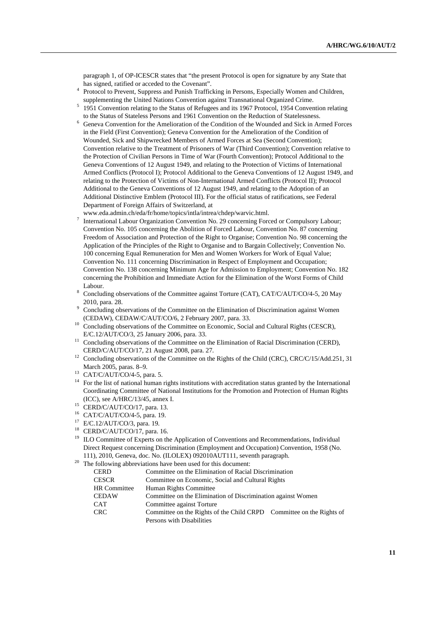paragraph 1, of OP-ICESCR states that "the present Protocol is open for signature by any State that has signed, ratified or acceded to the Covenant".

- Protocol to Prevent, Suppress and Punish Trafficking in Persons, Especially Women and Children, supplementing the United Nations Convention against Transnational Organized Crime.
- <sup>5</sup> 1951 Convention relating to the Status of Refugees and its 1967 Protocol, 1954 Convention relating to the Status of Stateless Persons and 1961 Convention on the Reduction of Statelessness.
- <sup>6</sup> Geneva Convention for the Amelioration of the Condition of the Wounded and Sick in Armed Forces in the Field (First Convention); Geneva Convention for the Amelioration of the Condition of Wounded, Sick and Shipwrecked Members of Armed Forces at Sea (Second Convention); Convention relative to the Treatment of Prisoners of War (Third Convention); Convention relative to the Protection of Civilian Persons in Time of War (Fourth Convention); Protocol Additional to the Geneva Conventions of 12 August 1949, and relating to the Protection of Victims of International Armed Conflicts (Protocol I); Protocol Additional to the Geneva Conventions of 12 August 1949, and relating to the Protection of Victims of Non-International Armed Conflicts (Protocol II); Protocol Additional to the Geneva Conventions of 12 August 1949, and relating to the Adoption of an Additional Distinctive Emblem (Protocol III). For the official status of ratifications, see Federal Department of Foreign Affairs of Switzerland, at
- www.eda.admin.ch/eda/fr/home/topics/intla/intrea/chdep/warvic.html.<br>7 International Labour Operaintien Convention Na. 20 concerning Form
- International Labour Organization Convention No. 29 concerning Forced or Compulsory Labour; Convention No. 105 concerning the Abolition of Forced Labour, Convention No. 87 concerning Freedom of Association and Protection of the Right to Organise; Convention No. 98 concerning the Application of the Principles of the Right to Organise and to Bargain Collectively; Convention No. 100 concerning Equal Remuneration for Men and Women Workers for Work of Equal Value; Convention No. 111 concerning Discrimination in Respect of Employment and Occupation; Convention No. 138 concerning Minimum Age for Admission to Employment; Convention No. 182 concerning the Prohibition and Immediate Action for the Elimination of the Worst Forms of Child Labour.
- Concluding observations of the Committee against Torture (CAT), CAT/C/AUT/CO/4-5, 20 May 2010, para. 28.
- Concluding observations of the Committee on the Elimination of Discrimination against Women (CEDAW), CEDAW/C/AUT/CO/6, 2 February 2007, para. 33.<br><sup>10</sup> Concluding observations of the Committee on Economic, Social and Cultural Rights (CESCR),
- 
- E/C.12/AUT/CO/3, 25 January 2006, para. 33.<br><sup>11</sup> Concluding observations of the Committee on the Elimination of Racial Discrimination (CERD),
- CERD/C/AUT/CO/17, 21 August 2008, para. 27.<br><sup>12</sup> Concluding observations of the Committee on the Rights of the Child (CRC), CRC/C/15/Add.251, 31<br>March 2005, paras. 8–9.
- $13$  CAT/C/AUT/CO/4-5, para. 5.
- <sup>14</sup> For the list of national human rights institutions with accreditation status granted by the International Coordinating Committee of National Institutions for the Promotion and Protection of Human Rights (ICC), see A/HRC/13/45, annex I. 15 CERD/C/AUT/CO/17, para. 13.
- 
- 16 CAT/C/AUT/CO/4-5, para. 19.
- 17 E/C.12/AUT/CO/3, para. 19.
- 18 CERD/C/AUT/CO/17, para. 16.
- <sup>19</sup> ILO Committee of Experts on the Application of Conventions and Recommendations, Individual Direct Request concerning Discrimination (Employment and Occupation) Convention, 1958 (No. 111), 2010, Geneva, doc. No. (ILOLEX) 092010AUT111, seventh paragraph. 20 The following abbreviations have been used for this document:
- 

| <b>CERD</b>  | Committee on the Elimination of Racial Discrimination                |  |  |
|--------------|----------------------------------------------------------------------|--|--|
| <b>CESCR</b> | Committee on Economic, Social and Cultural Rights                    |  |  |
| HR Committee | Human Rights Committee                                               |  |  |
| <b>CEDAW</b> | Committee on the Elimination of Discrimination against Women         |  |  |
| <b>CAT</b>   | Committee against Torture                                            |  |  |
| <b>CRC</b>   | Committee on the Rights of the Child CRPD Committee on the Rights of |  |  |
|              | Persons with Disabilities                                            |  |  |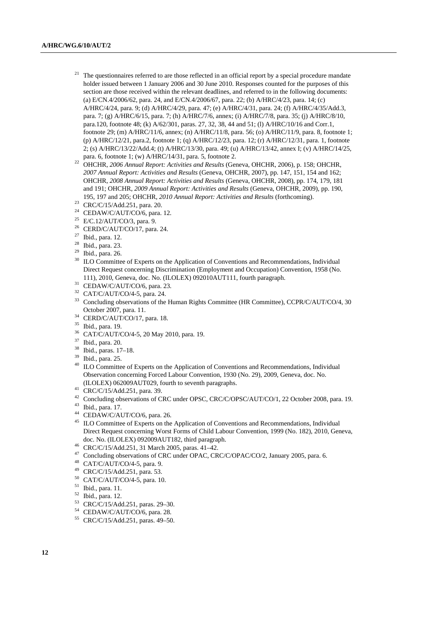- The questionnaires referred to are those reflected in an official report by a special procedure mandate holder issued between 1 January 2006 and 30 June 2010. Responses counted for the purposes of this section are those received within the relevant deadlines, and referred to in the following documents: (a) E/CN.4/2006/62, para. 24, and E/CN.4/2006/67, para. 22; (b) A/HRC/4/23, para. 14; (c) A/HRC/4/24, para. 9; (d) A/HRC/4/29, para. 47; (e) A/HRC/4/31, para. 24; (f) A/HRC/4/35/Add.3, para. 7; (g) A/HRC/6/15, para. 7; (h) A/HRC/7/6, annex; (i) A/HRC/7/8, para. 35; (j) A/HRC/8/10, para.120, footnote 48; (k) A/62/301, paras. 27, 32, 38, 44 and 51; (l) A/HRC/10/16 and Corr.1, footnote 29; (m) A/HRC/11/6, annex; (n) A/HRC/11/8, para. 56; (o) A/HRC/11/9, para. 8, footnote 1; (p) A/HRC/12/21, para.2, footnote 1; (q) A/HRC/12/23, para. 12; (r) A/HRC/12/31, para. 1, footnote 2; (s) A/HRC/13/22/Add.4; (t) A/HRC/13/30, para. 49; (u) A/HRC/13/42, annex I; (v) A/HRC/14/25,
- para. 6, footnote 1; (w) A/HRC/14/31, para. 5, footnote 2. 22 OHCHR, *2006 Annual Report: Activities and Results* (Geneva, OHCHR, 2006), p. 158; OHCHR, *2007 Annual Report: Activities and Results* (Geneva, OHCHR, 2007), pp. 147, 151, 154 and 162; OHCHR, *2008 Annual Report: Activities and Results* (Geneva, OHCHR, 2008), pp. 174, 179, 181 and 191; OHCHR, *2009 Annual Report: Activities and Results* (Geneva, OHCHR, 2009), pp. 190, 195, 197 and 205; OHCHR, *2010 Annual Report: Activities and Results* (forthcoming). 23 CRC/C/15/Add.251, para. 20.
- 
- 24 CEDAW/C/AUT/CO/6, para. 12.
- <sup>25</sup> E/C.12/AUT/CO/3, para. 9.
- $26$  CERD/C/AUT/CO/17, para. 24.
- 27 Ibid., para. 12.
- 28 Ibid., para. 23.
- 29 Ibid., para. 26.
- <sup>30</sup> ILO Committee of Experts on the Application of Conventions and Recommendations, Individual Direct Request concerning Discrimination (Employment and Occupation) Convention, 1958 (No. 111), 2010, Geneva, doc. No. (ILOLEX) 092010AUT111, fourth paragraph.<br> $31$  CEDAW/C/AUT/CO/6, para. 23.
- 
- 32 CAT/C/AUT/CO/4-5, para. 24.
- <sup>33</sup> Concluding observations of the Human Rights Committee (HR Committee), CCPR/C/AUT/CO/4, 30
- October 2007, para. 11. 34 CERD/C/AUT/CO/17, para. 18.
- 35 Ibid., para. 19.
- 36 CAT/C/AUT/CO/4-5, 20 May 2010, para. 19.
- 37 Ibid., para. 20.
- 38 Ibid., paras. 17–18.
- 39 Ibid., para. 25.
- <sup>40</sup> ILO Committee of Experts on the Application of Conventions and Recommendations, Individual Observation concerning Forced Labour Convention, 1930 (No. 29), 2009, Geneva, doc. No. (ILOLEX) 062009AUT029, fourth to seventh paragraphs. 41 CRC/C/15/Add.251, para. 39.
- 
- <sup>42</sup> Concluding observations of CRC under OPSC, CRC/C/OPSC/AUT/CO/1, 22 October 2008, para. 19.<br><sup>43</sup> Ibid., para. 17.
- 
- 44 CEDAW/C/AUT/CO/6, para. 26.
- <sup>45</sup> ILO Committee of Experts on the Application of Conventions and Recommendations, Individual Direct Request concerning Worst Forms of Child Labour Convention, 1999 (No. 182), 2010, Geneva, doc. No. (ILOLEX) 092009AUT182, third paragraph. 46 CRC/C/15/Add.251, 31 March 2005, paras. 41–42.
- 
- <sup>47</sup> Concluding observations of CRC under OPAC, CRC/C/OPAC/CO/2, January 2005, para. 6.<br><sup>48</sup> CAT/C/AUT/CO/4-5, para. 9.
- 
- <sup>49</sup> CRC/C/15/Add.251, para. 53.<br><sup>50</sup> CAT/C/AUT/CO/4.5, para. 10
- CAT/C/AUT/CO/4-5, para. 10.
- 51 Ibid., para. 11.
- $^{52}$  Ibid., para. 12.
- 53 CRC/C/15/Add.251, paras. 29–30.
- 54 CEDAW/C/AUT/CO/6, para. 28.
- 55 CRC/C/15/Add.251, paras. 49–50.